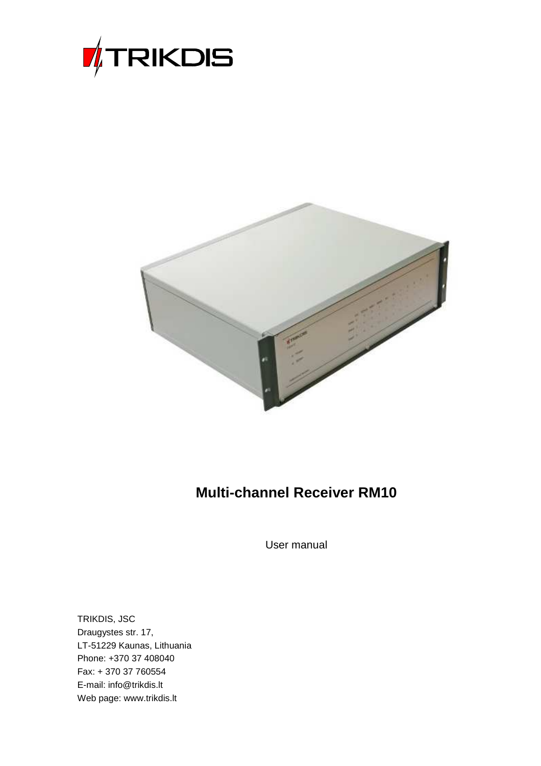



# **Multi-channel Receiver RM10**

User manual

TRIKDIS, JSC Draugystes str. 17, LT-51229 Kaunas, Lithuania Phone: +370 37 408040 Fax: + 370 37 760554 E-mail: info@trikdis.lt Web page: www.trikdis.lt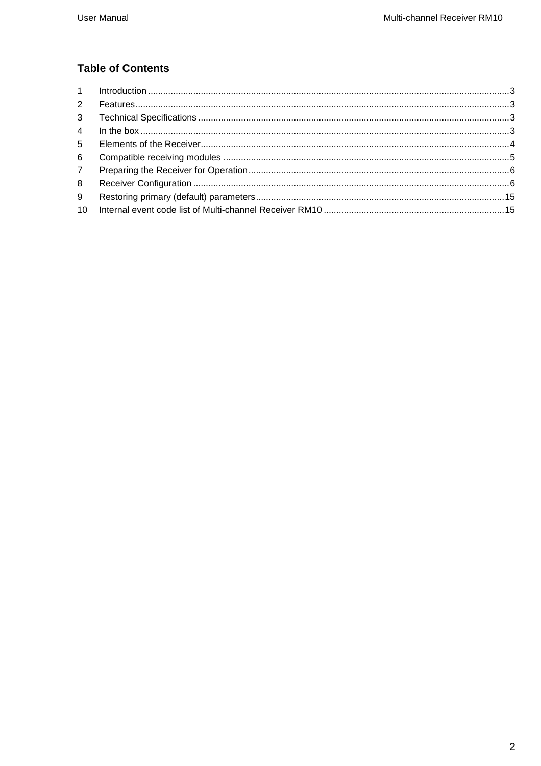# **Table of Contents**

| $2^{\circ}$    |  |
|----------------|--|
| 3              |  |
| $4 \quad$      |  |
| 5 <sup>5</sup> |  |
| 6              |  |
| 7 <sup>7</sup> |  |
| 8              |  |
| 9              |  |
|                |  |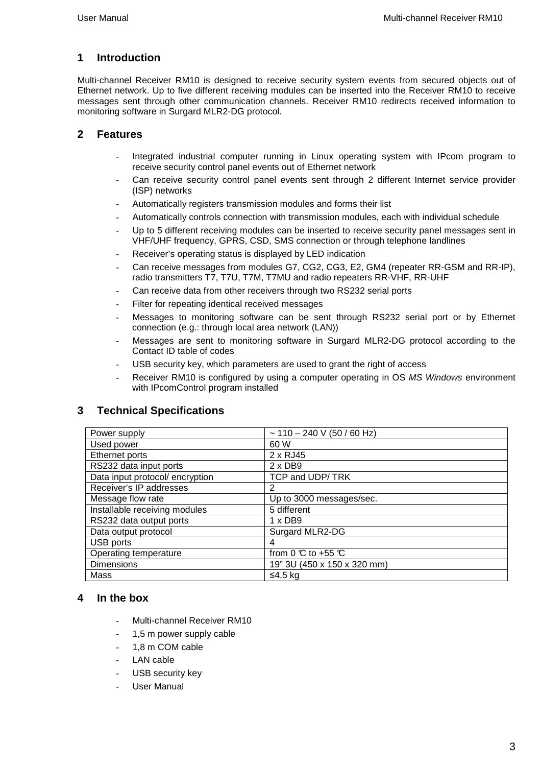# **1 Introduction**

Multi-channel Receiver RM10 is designed to receive security system events from secured objects out of Ethernet network. Up to five different receiving modules can be inserted into the Receiver RM10 to receive messages sent through other communication channels. Receiver RM10 redirects received information to monitoring software in Surgard MLR2-DG protocol.

### **2 Features**

- Integrated industrial computer running in Linux operating system with IPcom program to receive security control panel events out of Ethernet network
- Can receive security control panel events sent through 2 different Internet service provider (ISP) networks
- Automatically registers transmission modules and forms their list
- Automatically controls connection with transmission modules, each with individual schedule
- Up to 5 different receiving modules can be inserted to receive security panel messages sent in VHF/UHF frequency, GPRS, CSD, SMS connection or through telephone landlines
- Receiver's operating status is displayed by LED indication
- Can receive messages from modules G7, CG2, CG3, E2, GM4 (repeater RR-GSM and RR-IP), radio transmitters T7, T7U, T7M, T7MU and radio repeaters RR-VHF, RR-UHF
- Can receive data from other receivers through two RS232 serial ports
- Filter for repeating identical received messages
- Messages to monitoring software can be sent through RS232 serial port or by Ethernet connection (e.g.: through local area network (LAN))
- Messages are sent to monitoring software in Surgard MLR2-DG protocol according to the Contact ID table of codes
- USB security key, which parameters are used to grant the right of access
- Receiver RM10 is configured by using a computer operating in OS MS Windows environment with IPcomControl program installed

# **3 Technical Specifications**

| Power supply                    | $\sim$ 110 – 240 V (50 / 60 Hz)       |
|---------------------------------|---------------------------------------|
| Used power                      | 60 W                                  |
| Ethernet ports                  | 2 x RJ45                              |
| RS232 data input ports          | $2 \times DB9$                        |
| Data input protocol/ encryption | TCP and UDP/TRK                       |
| Receiver's IP addresses         | 2                                     |
| Message flow rate               | Up to 3000 messages/sec.              |
| Installable receiving modules   | 5 different                           |
| RS232 data output ports         | $1 \times DB9$                        |
| Data output protocol            | Surgard MLR2-DG                       |
| USB ports                       | 4                                     |
| Operating temperature           | from 0 $\mathbb C$ to +55 $\mathbb C$ |
| <b>Dimensions</b>               | 19" 3U (450 x 150 x 320 mm)           |
| Mass                            | ≤4,5 kg                               |

#### **4 In the box**

- Multi-channel Receiver RM10
- 1,5 m power supply cable
- 1.8 m COM cable
- LAN cable
- USB security key
- User Manual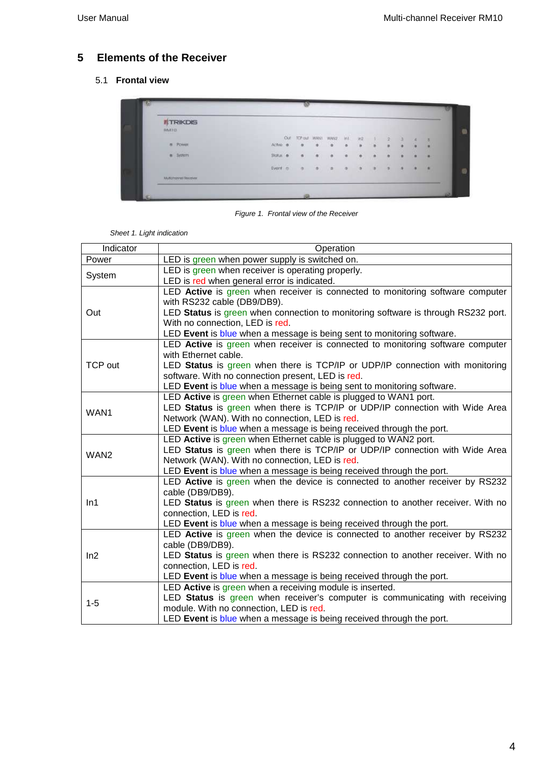# **5 Elements of the Receiver**

#### 5.1 **Frontal view**

| <b>WIRKDIS</b>                                         |                  |          |          |           |                       |         |               |   |   |   |   |        |
|--------------------------------------------------------|------------------|----------|----------|-----------|-----------------------|---------|---------------|---|---|---|---|--------|
| <b>BMETO</b>                                           |                  |          |          |           |                       |         | - 11          |   |   |   |   |        |
|                                                        |                  | $\alpha$ |          |           | top out www. www. int |         | mž            |   |   |   | × | $-28$  |
| <b>B</b> POWER                                         | Activo ®         |          | $\alpha$ | $\bullet$ | ä                     | ö       | ٠             | ٠ | ٠ | ¥ |   | ٠      |
| $\begin{array}{ll} \bullet & \text{fyrum} \end{array}$ | $3$ and $\alpha$ |          | e        | ۰         | ø                     | ø       |               |   |   |   |   | ٠      |
|                                                        | Event $\circ$    |          | $\sigma$ | $\bullet$ | $\alpha$              | $-0.01$ | $\rightarrow$ | s | ٠ | ٠ |   | $\sim$ |
| Multiplinary et Receiver.                              |                  |          |          |           |                       |         |               |   |   |   |   |        |

Figure 1. Frontal view of the Receiver

| Indicator        | Operation                                                                                                                      |
|------------------|--------------------------------------------------------------------------------------------------------------------------------|
| Power            | LED is green when power supply is switched on.                                                                                 |
|                  | LED is green when receiver is operating properly.                                                                              |
| System           | LED is red when general error is indicated.                                                                                    |
|                  | LED Active is green when receiver is connected to monitoring software computer<br>with RS232 cable (DB9/DB9).                  |
| Out              | LED Status is green when connection to monitoring software is through RS232 port.                                              |
|                  | With no connection, LED is red.                                                                                                |
|                  | LED Event is blue when a message is being sent to monitoring software.                                                         |
|                  | LED Active is green when receiver is connected to monitoring software computer                                                 |
|                  | with Ethernet cable.                                                                                                           |
| <b>TCP out</b>   | LED Status is green when there is TCP/IP or UDP/IP connection with monitoring                                                  |
|                  | software. With no connection present, LED is red.                                                                              |
|                  | LED Event is blue when a message is being sent to monitoring software.                                                         |
|                  | LED Active is green when Ethernet cable is plugged to WAN1 port.                                                               |
| WAN1             | LED Status is green when there is TCP/IP or UDP/IP connection with Wide Area<br>Network (WAN). With no connection, LED is red. |
|                  | LED Event is blue when a message is being received through the port.                                                           |
|                  | LED Active is green when Ethernet cable is plugged to WAN2 port.                                                               |
|                  | LED Status is green when there is TCP/IP or UDP/IP connection with Wide Area                                                   |
| WAN <sub>2</sub> | Network (WAN). With no connection, LED is red.                                                                                 |
|                  | LED Event is blue when a message is being received through the port.                                                           |
|                  | LED Active is green when the device is connected to another receiver by RS232                                                  |
|                  | cable (DB9/DB9).                                                                                                               |
| In1              | LED Status is green when there is RS232 connection to another receiver. With no                                                |
|                  | connection, LED is red.                                                                                                        |
|                  | LED Event is blue when a message is being received through the port.                                                           |
|                  | LED Active is green when the device is connected to another receiver by RS232                                                  |
|                  | cable (DB9/DB9).                                                                                                               |
| ln2              | LED Status is green when there is RS232 connection to another receiver. With no                                                |
|                  | connection, LED is red.                                                                                                        |
|                  | LED Event is blue when a message is being received through the port.                                                           |
|                  | LED Active is green when a receiving module is inserted.                                                                       |
| $1 - 5$          | LED Status is green when receiver's computer is communicating with receiving                                                   |
|                  | module. With no connection, LED is red.                                                                                        |
|                  | LED Event is blue when a message is being received through the port.                                                           |

Sheet 1. Light indication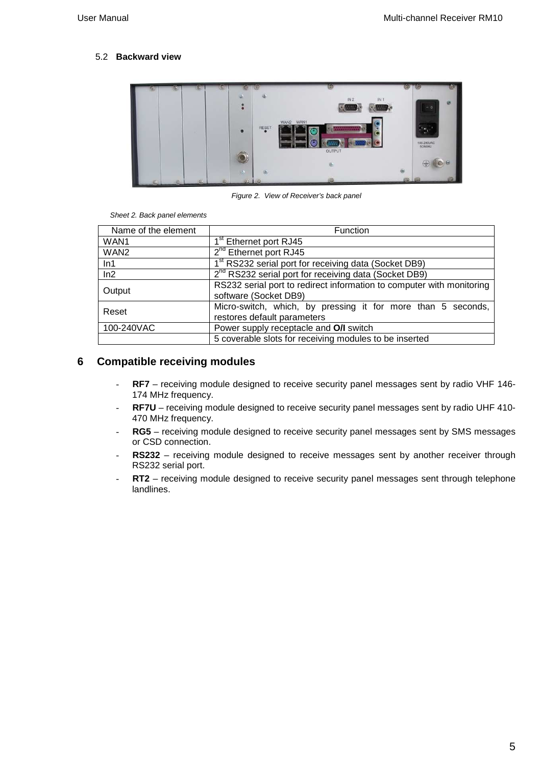#### 5.2 **Backward view**



Figure 2. View of Receiver's back panel

Sheet 2. Back panel elements

| Name of the element                                                       | Function                                                                                       |  |  |  |
|---------------------------------------------------------------------------|------------------------------------------------------------------------------------------------|--|--|--|
| WAN1                                                                      | 1 <sup>st</sup> Ethernet port RJ45                                                             |  |  |  |
| WAN <sub>2</sub>                                                          | 2 <sup>nd</sup> Ethernet port RJ45                                                             |  |  |  |
| 1 <sup>st</sup> RS232 serial port for receiving data (Socket DB9)<br>ln 1 |                                                                                                |  |  |  |
| ln2                                                                       | $2^{nd}$ RS232 serial port for receiving data (Socket DB9)                                     |  |  |  |
| Output                                                                    | RS232 serial port to redirect information to computer with monitoring<br>software (Socket DB9) |  |  |  |
| Reset                                                                     | Micro-switch, which, by pressing it for more than 5 seconds,<br>restores default parameters    |  |  |  |
| 100-240VAC<br>Power supply receptacle and O/I switch                      |                                                                                                |  |  |  |
|                                                                           | 5 coverable slots for receiving modules to be inserted                                         |  |  |  |

# **6 Compatible receiving modules**

- **RF7** receiving module designed to receive security panel messages sent by radio VHF 146- 174 MHz frequency.
- **RF7U** receiving module designed to receive security panel messages sent by radio UHF 410- 470 MHz frequency.
- RG5 receiving module designed to receive security panel messages sent by SMS messages or CSD connection.
- RS232 receiving module designed to receive messages sent by another receiver through RS232 serial port.
- RT2 receiving module designed to receive security panel messages sent through telephone landlines.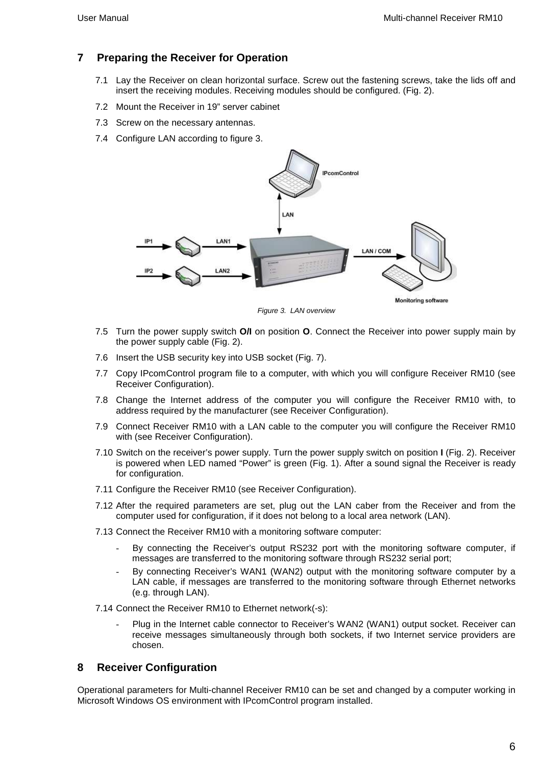# **7 Preparing the Receiver for Operation**

- 7.1 Lay the Receiver on clean horizontal surface. Screw out the fastening screws, take the lids off and insert the receiving modules. Receiving modules should be configured. (Fig. 2).
- 7.2 Mount the Receiver in 19" server cabinet
- 7.3 Screw on the necessary antennas.
- 7.4 Configure LAN according to figure 3.



Figure 3. LAN overview

- 7.5 Turn the power supply switch **O/I** on position **O**. Connect the Receiver into power supply main by the power supply cable (Fig. 2).
- 7.6 Insert the USB security key into USB socket (Fig. 7).
- 7.7 Copy IPcomControl program file to a computer, with which you will configure Receiver RM10 (see Receiver Configuration).
- 7.8 Change the Internet address of the computer you will configure the Receiver RM10 with, to address required by the manufacturer (see Receiver Configuration).
- 7.9 Connect Receiver RM10 with a LAN cable to the computer you will configure the Receiver RM10 with (see Receiver Configuration).
- 7.10 Switch on the receiver's power supply. Turn the power supply switch on position **I** (Fig. 2). Receiver is powered when LED named "Power" is green (Fig. 1). After a sound signal the Receiver is ready for configuration.
- 7.11 Configure the Receiver RM10 (see Receiver Configuration).
- 7.12 After the required parameters are set, plug out the LAN caber from the Receiver and from the computer used for configuration, if it does not belong to a local area network (LAN).
- 7.13 Connect the Receiver RM10 with a monitoring software computer:
	- By connecting the Receiver's output RS232 port with the monitoring software computer, if messages are transferred to the monitoring software through RS232 serial port;
	- By connecting Receiver's WAN1 (WAN2) output with the monitoring software computer by a LAN cable, if messages are transferred to the monitoring software through Ethernet networks (e.g. through LAN).

7.14 Connect the Receiver RM10 to Ethernet network(-s):

Plug in the Internet cable connector to Receiver's WAN2 (WAN1) output socket. Receiver can receive messages simultaneously through both sockets, if two Internet service providers are chosen.

# **8 Receiver Configuration**

Operational parameters for Multi-channel Receiver RM10 can be set and changed by a computer working in Microsoft Windows OS environment with IPcomControl program installed.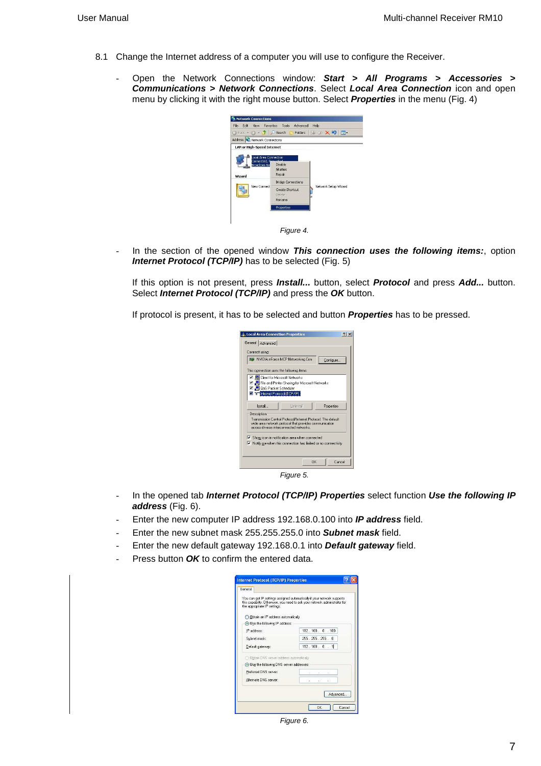- 8.1 Change the Internet address of a computer you will use to configure the Receiver.
	- Open the Network Connections window: **Start > All Programs > Accessories > Communications > Network Connections**. Select **Local Area Connection** icon and open menu by clicking it with the right mouse button. Select **Properties** in the menu (Fig. 4)



In the section of the opened window This connection uses the following items:, option **Internet Protocol (TCP/IP)** has to be selected (Fig. 5)

If this option is not present, press **Install...** button, select **Protocol** and press **Add...** button. Select **Internet Protocol (TCP/IP)** and press the **OK** button.

If protocol is present, it has to be selected and button **Properties** has to be pressed.

| LL Local Area Connection Properties                                                                                    | 21x |
|------------------------------------------------------------------------------------------------------------------------|-----|
| General Advanced                                                                                                       |     |
| Connect using:                                                                                                         |     |
| ■■ NVIDIA nForce MCP Networking Con<br>Configure.                                                                      |     |
| This connection uses the following items:                                                                              |     |
| Client for Microsoft Networks                                                                                          |     |
| ◘ ■ File and Printer Sharing for Microsoft Networks                                                                    |     |
| ☑ _ 이S Packet Scheduler<br>V & Internet Protocol (TCP/IP)                                                              |     |
|                                                                                                                        |     |
| <b>Hninstall</b><br>Properties<br>Install                                                                              |     |
| Description                                                                                                            |     |
| Transmission Control Protocol/Internet Protocol. The default<br>wide area network protocol that provides communication |     |
| across diverse interconnected networks.                                                                                |     |
| Show icon in notification area when connected                                                                          |     |
| Motify me when this connection has limited or no connectivity                                                          |     |
|                                                                                                                        |     |
|                                                                                                                        |     |
| <b>DK</b><br>Cancel                                                                                                    |     |
| Figure 5.                                                                                                              |     |

- In the opened tab **Internet Protocol (TCP/IP) Properties** select function **Use the following IP address** (Fig. 6).
- Enter the new computer IP address 192.168.0.100 into **IP address** field.
- Enter the new subnet mask 255.255.255.0 into **Subnet mask** field.
- Enter the new default gateway 192.168.0.1 into **Default gateway** field.
- Press button OK to confirm the entered data.

| General                                   |                                                                                                                                                       |  |  |  |  |
|-------------------------------------------|-------------------------------------------------------------------------------------------------------------------------------------------------------|--|--|--|--|
| the appropriate IP settings.              | You can get IP settings assigned automatically if your network supports<br>this capability. Otherwise, you need to ask your network administrator for |  |  |  |  |
| O Obtain an IP address automatically      |                                                                                                                                                       |  |  |  |  |
| (a) Use the following IP address:         |                                                                                                                                                       |  |  |  |  |
| IP address:                               | 192.168.0.100                                                                                                                                         |  |  |  |  |
| Subnet mask:                              | 255 255 255 0                                                                                                                                         |  |  |  |  |
| Default gateway:                          | 192.168.0.1                                                                                                                                           |  |  |  |  |
| Obtain DNS server address automatically   |                                                                                                                                                       |  |  |  |  |
| O Use the following DNS server addresses: |                                                                                                                                                       |  |  |  |  |
| Preferred DNS server:                     |                                                                                                                                                       |  |  |  |  |
| Alternate DNS server:                     | h.<br>i.                                                                                                                                              |  |  |  |  |
|                                           |                                                                                                                                                       |  |  |  |  |
|                                           | Advanced                                                                                                                                              |  |  |  |  |
|                                           |                                                                                                                                                       |  |  |  |  |

Figure 6.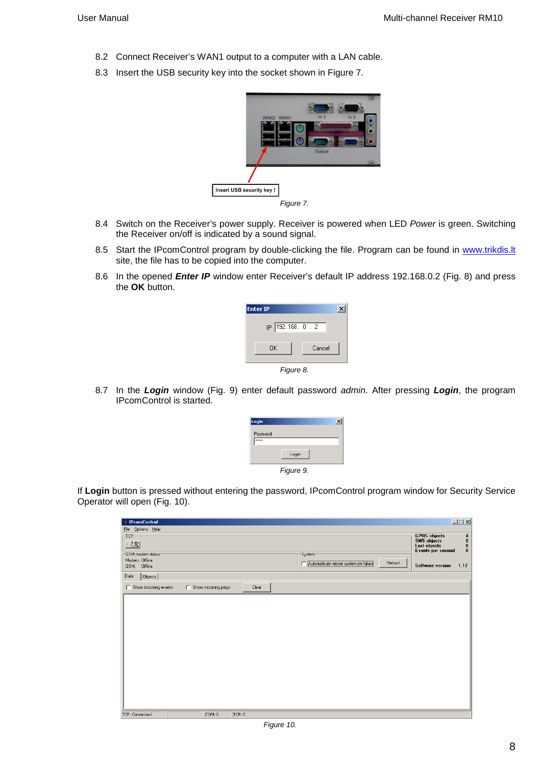- 8.2 Connect Receiver's WAN1 output to a computer with a LAN cable.
- 8.3 Insert the USB security key into the socket shown in Figure 7.



Figure 7.

- 8.4 Switch on the Receiver's power supply. Receiver is powered when LED Power is green. Switching the Receiver on/off is indicated by a sound signal.
- 8.5 Start the IPcomControl program by double-clicking the file. Program can be found in www.trikdis.lt site, the file has to be copied into the computer.
- 8.6 In the opened **Enter IP** window enter Receiver's default IP address 192.168.0.2 (Fig. 8) and press the **OK** button.

| <b>Enter IP</b>   |  |  |  |  |  |  |
|-------------------|--|--|--|--|--|--|
| IP 192.168. 0 . 2 |  |  |  |  |  |  |
| Cancel<br>0K      |  |  |  |  |  |  |
| Figure 8.         |  |  |  |  |  |  |

8.7 In the **Login** window (Fig. 9) enter default password admin. After pressing **Login**, the program IPcomControl is started.

| Login             |           | $\mathbf{x}$ |
|-------------------|-----------|--------------|
| Password<br>MMMMM |           |              |
|                   | Login     |              |
|                   | Figure 9. |              |

If **Login** button is pressed without entering the password, IPcomControl program window for Security Service Operator will open (Fig. 10).

| <b>F</b> IPcomControl       |                     |        |                     |                                       |        | $\Box$                                          |
|-----------------------------|---------------------|--------|---------------------|---------------------------------------|--------|-------------------------------------------------|
|                             |                     |        |                     |                                       |        |                                                 |
| File Options Help           |                     |        |                     |                                       |        |                                                 |
| $-TCP$                      |                     |        |                     |                                       |        | GPRS objects<br>SMS objects<br>Lost objects     |
| $\odot 3$                   |                     |        |                     |                                       |        | $\begin{array}{c} 4 \\ 0 \\ 0 \\ 0 \end{array}$ |
| GSM modem status            |                     |        | System <sup>-</sup> |                                       |        | Events per second                               |
| Modem: Offline              |                     |        |                     |                                       | Reboot |                                                 |
| GSM: Offline                |                     |        |                     | Automaticaly reboot system on failure |        | <b>Software version</b><br>1.17                 |
| Objects<br>Data             |                     |        |                     |                                       |        |                                                 |
| $\Box$ Show incoming events | Show incoming pings | Clear  |                     |                                       |        |                                                 |
|                             |                     |        |                     |                                       |        |                                                 |
|                             |                     |        |                     |                                       |        |                                                 |
|                             |                     |        |                     |                                       |        |                                                 |
|                             |                     |        |                     |                                       |        |                                                 |
|                             |                     |        |                     |                                       |        |                                                 |
|                             |                     |        |                     |                                       |        |                                                 |
|                             |                     |        |                     |                                       |        |                                                 |
|                             |                     |        |                     |                                       |        |                                                 |
|                             |                     |        |                     |                                       |        |                                                 |
|                             |                     |        |                     |                                       |        |                                                 |
|                             |                     |        |                     |                                       |        |                                                 |
|                             |                     |        |                     |                                       |        |                                                 |
|                             |                     |        |                     |                                       |        |                                                 |
|                             |                     |        |                     |                                       |        |                                                 |
|                             |                     |        |                     |                                       |        |                                                 |
|                             |                     |        |                     |                                       |        |                                                 |
|                             |                     |        |                     |                                       |        |                                                 |
| TCP: Connected              | COM: 0              | TCP: 0 |                     |                                       |        |                                                 |

Figure 10.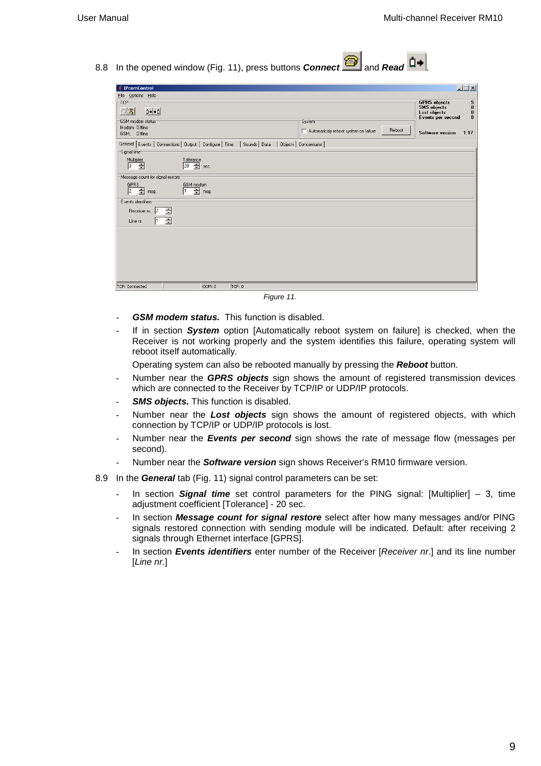8.8 In the opened window (Fig. 11), press buttons **Connect** and **Read**  $\overrightarrow{D}$ 

| <b><i>i</i></b> IPcomControl                                                          |                                                          |             |                                                 |        |                                                                                | $\Box$                                                                     |
|---------------------------------------------------------------------------------------|----------------------------------------------------------|-------------|-------------------------------------------------|--------|--------------------------------------------------------------------------------|----------------------------------------------------------------------------|
| File Options Help                                                                     |                                                          |             |                                                 |        |                                                                                |                                                                            |
| -TCP<br>$\mathbf{D} \bullet   \bullet \mathbf{D}  $<br>$\odot$ $\ddot{\ddot{\delta}}$ |                                                          |             |                                                 |        | <b>GPRS</b> objects<br><b>SMS</b> objects<br>Lost objects<br>Events per second | $\overline{\mathbf{5}}_0$<br>$\begin{smallmatrix} 0\\ 0 \end{smallmatrix}$ |
| GSM modem status<br>Modem: Offline<br>GSM: Offline                                    |                                                          |             | System<br>Automaticaly reboot system on failure | Reboot | Software version                                                               | 1.17                                                                       |
| Signal time                                                                           | General Events   Connections   Output   Configure   Time | Sounds Data | Objects   Concentrator                          |        |                                                                                |                                                                            |
| Multiplier<br>╔<br>H,                                                                 | Tolerance<br>$\Rightarrow$ sec.<br>20                    |             |                                                 |        |                                                                                |                                                                            |
| Message count for signal restore                                                      |                                                          |             |                                                 |        |                                                                                |                                                                            |
| GPRS<br>2<br>÷<br>msg.                                                                | GSM modem<br>$\Rightarrow$ msg.                          |             |                                                 |        |                                                                                |                                                                            |
| Events identifiers                                                                    |                                                          |             |                                                 |        |                                                                                |                                                                            |
| Receiver nr. 2                                                                        | 青                                                        |             |                                                 |        |                                                                                |                                                                            |
| Line nr.                                                                              | 즐                                                        |             |                                                 |        |                                                                                |                                                                            |
|                                                                                       |                                                          |             |                                                 |        |                                                                                |                                                                            |
|                                                                                       |                                                          |             |                                                 |        |                                                                                |                                                                            |
|                                                                                       |                                                          |             |                                                 |        |                                                                                |                                                                            |
|                                                                                       |                                                          |             |                                                 |        |                                                                                |                                                                            |
|                                                                                       |                                                          |             |                                                 |        |                                                                                |                                                                            |
| TCP: Connected                                                                        | COM: 0                                                   | TCP: 0      |                                                 |        |                                                                                |                                                                            |
|                                                                                       |                                                          | — <b>.</b>  | $\sim$ $\sim$                                   |        |                                                                                |                                                                            |

Figure 11.

- GSM modem status. This function is disabled.
- If in section **System** option [Automatically reboot system on failure] is checked, when the Receiver is not working properly and the system identifies this failure, operating system will reboot itself automatically.

Operating system can also be rebooted manually by pressing the **Reboot** button.

- Number near the **GPRS objects** sign shows the amount of registered transmission devices which are connected to the Receiver by TCP/IP or UDP/IP protocols.
- **SMS objects.** This function is disabled.
- Number near the **Lost objects** sign shows the amount of registered objects, with which connection by TCP/IP or UDP/IP protocols is lost.
- Number near the **Events per second** sign shows the rate of message flow (messages per second).
- Number near the **Software version** sign shows Receiver's RM10 firmware version.
- 8.9 In the **General** tab (Fig. 11) signal control parameters can be set:
	- In section **Signal time** set control parameters for the PING signal: [Multiplier] 3, time adjustment coefficient [Tolerance] - 20 sec.
	- In section **Message count for signal restore** select after how many messages and/or PING signals restored connection with sending module will be indicated. Default: after receiving 2 signals through Ethernet interface [GPRS].
	- In section **Events identifiers** enter number of the Receiver [Receiver nr.] and its line number [Line nr.]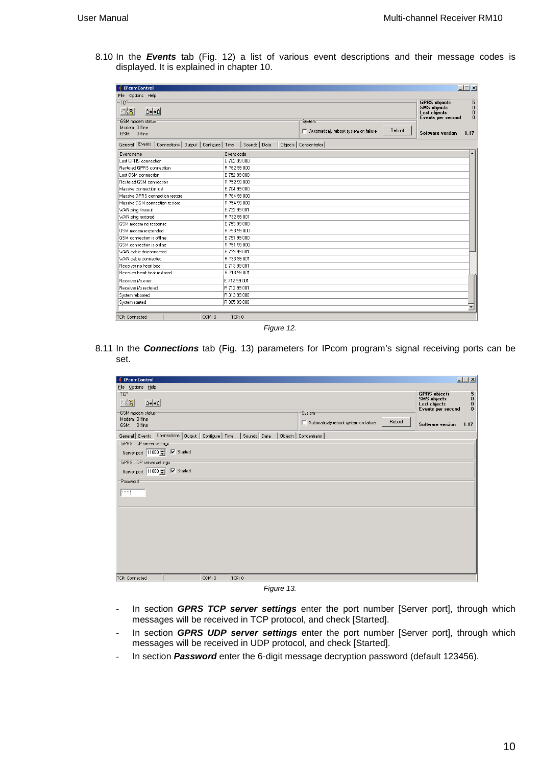8.10 In the **Events** tab (Fig. 12) a list of various event descriptions and their message codes is displayed. It is explained in chapter 10.

| <b>IPcomControl</b>                                                      |                        | $ \Box$ $\times$                                                                                                         |  |  |  |
|--------------------------------------------------------------------------|------------------------|--------------------------------------------------------------------------------------------------------------------------|--|--|--|
| File Options Help                                                        |                        |                                                                                                                          |  |  |  |
| -TCP<br>$\mathbf{D} \bullet \mathbf{I} \bullet \mathbf{D}$<br>83         |                        | <b>GPRS</b> objects<br>5<br>$\pmb{0}$<br><b>SMS</b> objects<br>$\bf{0}$<br>Lost objects<br>$\bf{0}$<br>Events per second |  |  |  |
| GSM modem status:                                                        | System <sup>-</sup>    |                                                                                                                          |  |  |  |
| Modem: Offline<br>GSM: Offline                                           |                        | Reboot<br>Automaticaly reboot system on failure<br><b>Software version</b><br>1.17                                       |  |  |  |
| General Events   Connections   Output   Configure   Time   Sounds   Data | Objects   Concentrator |                                                                                                                          |  |  |  |
| Event name                                                               | Event code             |                                                                                                                          |  |  |  |
| Lost GPRS connection                                                     | E 762 99 000           |                                                                                                                          |  |  |  |
| Restored GPRS connection                                                 | R 762 99 000           |                                                                                                                          |  |  |  |
| Lost GSM connection                                                      | E 752 99 000           |                                                                                                                          |  |  |  |
| Restored GSM connection                                                  | R 752 99 000           |                                                                                                                          |  |  |  |
| Massive connection lost                                                  | E 704 99 000           |                                                                                                                          |  |  |  |
| Massive GPBS connection restore                                          | R 764 99 000           |                                                                                                                          |  |  |  |
| Massive GSM connection restore                                           | R 754 99 000           |                                                                                                                          |  |  |  |
| WAN ping timeout                                                         | E 732 99 001           |                                                                                                                          |  |  |  |
| WAN ping restored                                                        | R 732 99 001           |                                                                                                                          |  |  |  |
| GSM modem no response                                                    | E 753 99 000           |                                                                                                                          |  |  |  |
| GSM modem responded                                                      | R 753 99 000           |                                                                                                                          |  |  |  |
| GSM connection is offline                                                | E 751 99 000           |                                                                                                                          |  |  |  |
| GSM connection is online                                                 | R 751 99 000           |                                                                                                                          |  |  |  |
| WAN cable disconnected                                                   | E 733 99 001           |                                                                                                                          |  |  |  |
| WAN cable connected                                                      | R 733 99 001           |                                                                                                                          |  |  |  |
| Receiver no heart beat                                                   | E 713 99 001           |                                                                                                                          |  |  |  |
| Receiver heart beat restored                                             | R 713 99 001           |                                                                                                                          |  |  |  |
| Receiver i/o error                                                       | E 712 99 001           |                                                                                                                          |  |  |  |
| Receiver i/o restored                                                    | R 712 99 001           |                                                                                                                          |  |  |  |
| System rebooted                                                          | R 313 99 000           |                                                                                                                          |  |  |  |
| System started                                                           | R 305 99 000           | ٠                                                                                                                        |  |  |  |
| TCP: Connected<br>COM: 0                                                 | TCP: 0                 |                                                                                                                          |  |  |  |

Figure 12.

8.11 In the **Connections** tab (Fig. 13) parameters for IPcom program's signal receiving ports can be set.

| <b>I</b> IPcomControl                                                                       |                                                           | $\Box$                                                                                                                    |
|---------------------------------------------------------------------------------------------|-----------------------------------------------------------|---------------------------------------------------------------------------------------------------------------------------|
| File Options Help                                                                           |                                                           |                                                                                                                           |
| $-TCP$<br>$\odot$ 3<br>$\Box \rightarrow \rightarrow \Box$                                  |                                                           | <b>GPRS</b> objects<br>5<br><b>SMS</b> objects<br>$\pmb{0}$<br>$\pmb{0}$<br>Lost objects<br>$\bf{0}$<br>Events per second |
| GSM modem status<br>Modem: Offline<br>GSM: Offline                                          | System<br>Reboot<br>Automaticaly reboot system on failure | 1.17<br>Software version                                                                                                  |
| General Events Connections Output Configure Time<br>Sounds Data<br>GPRS TCP server settings | Dbjects   Concentrator                                    |                                                                                                                           |
| Server port 11000 → V Started                                                               |                                                           |                                                                                                                           |
| GPRS UDP server settings                                                                    |                                                           |                                                                                                                           |
| Server port 11000 → √ Started                                                               |                                                           |                                                                                                                           |
| Password                                                                                    |                                                           |                                                                                                                           |
| <b>xxxxxx</b>                                                                               |                                                           |                                                                                                                           |
|                                                                                             |                                                           |                                                                                                                           |
|                                                                                             |                                                           |                                                                                                                           |
|                                                                                             |                                                           |                                                                                                                           |
|                                                                                             |                                                           |                                                                                                                           |
|                                                                                             |                                                           |                                                                                                                           |
|                                                                                             |                                                           |                                                                                                                           |
| TCP: 0<br>TCP: Connected<br>COM: 0                                                          |                                                           |                                                                                                                           |
| $-1$                                                                                        |                                                           |                                                                                                                           |

Figure 13.

- In section **GPRS TCP server settings** enter the port number [Server port], through which messages will be received in TCP protocol, and check [Started].
- In section **GPRS UDP server settings** enter the port number [Server port], through which messages will be received in UDP protocol, and check [Started].
- In section **Password** enter the 6-digit message decryption password (default 123456).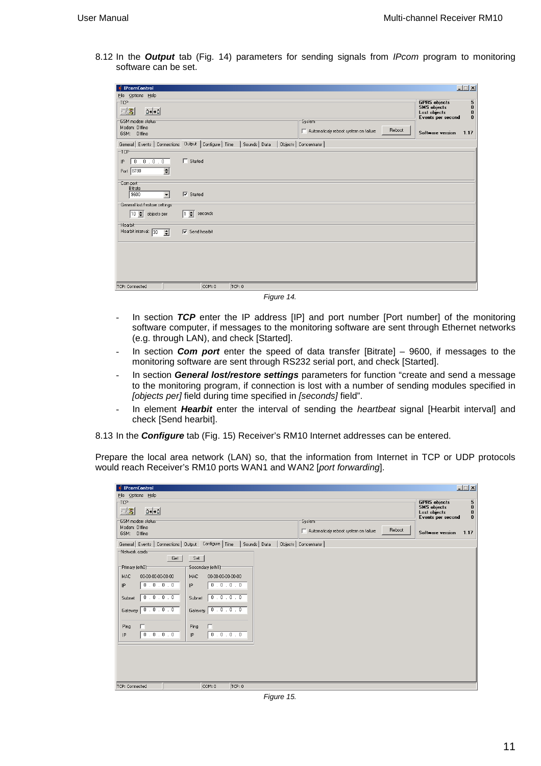8.12 In the **Output** tab (Fig. 14) parameters for sending signals from IPcom program to monitoring software can be set.

| <b>IPcomControl</b>                                                                                                     | $\Box$ $\Box$ $\times$                                                                         |
|-------------------------------------------------------------------------------------------------------------------------|------------------------------------------------------------------------------------------------|
| File Options Help                                                                                                       |                                                                                                |
| TCP                                                                                                                     | <b>GPRS</b> objects<br>5<br><b>SMS</b> objects                                                 |
| $\simeq$ 3<br>$n \rightarrow n$                                                                                         | $\begin{smallmatrix} 0\\ 0 \end{smallmatrix}$<br>Lost objects<br>$\bf{0}$<br>Events per second |
| GSM modem status<br>System                                                                                              |                                                                                                |
| Modem: Offline<br>Reboot<br>Automaticaly reboot system on failure<br>GSM: Offline                                       | Software version<br>1.17                                                                       |
| General Events   Connections   Output   Configure   Time<br>Sounds Data<br>Objects   Concentrator  <br>TCP <sup>-</sup> |                                                                                                |
| $\Box$ Started<br>0.0.0.0                                                                                               |                                                                                                |
| IP                                                                                                                      |                                                                                                |
| $\left  \bullet \right $<br>Port 8780                                                                                   |                                                                                                |
| Com port<br>Bitrate                                                                                                     |                                                                                                |
| $\nabla$ Started<br>9600<br>$\overline{\phantom{a}}$                                                                    |                                                                                                |
| General lost/restore settings                                                                                           |                                                                                                |
| $\boxed{10 \Rightarrow}$ objects per<br>$1 \div$<br>seconds                                                             |                                                                                                |
| <b>Hearbit</b>                                                                                                          |                                                                                                |
| Hearbit interval: 30<br>$\nabla$ Send hearbit<br>$\mathbf{H}$                                                           |                                                                                                |
|                                                                                                                         |                                                                                                |
|                                                                                                                         |                                                                                                |
|                                                                                                                         |                                                                                                |
|                                                                                                                         |                                                                                                |
|                                                                                                                         |                                                                                                |
| TCP: Connected<br>COM: 0<br>TCP: 0                                                                                      |                                                                                                |

Figure 14.

- In section **TCP** enter the IP address [IP] and port number [Port number] of the monitoring software computer, if messages to the monitoring software are sent through Ethernet networks (e.g. through LAN), and check [Started].
- In section **Com port** enter the speed of data transfer [Bitrate] 9600, if messages to the monitoring software are sent through RS232 serial port, and check [Started].
- In section **General lost/restore settings** parameters for function "create and send a message to the monitoring program, if connection is lost with a number of sending modules specified in [objects per] field during time specified in [seconds] field".
- In element **Hearbit** enter the interval of sending the heartbeat signal [Hearbit interval] and check [Send hearbit].

8.13 In the **Configure** tab (Fig. 15) Receiver's RM10 Internet addresses can be entered.

Prepare the local area network (LAN) so, that the information from Internet in TCP or UDP protocols would reach Receiver's RM10 ports WAN1 and WAN2 [port forwarding].

| <b><i>i</i></b> IPcomControl                                                                         | $\Box$ $\Box$ $\times$                                                                                                                |
|------------------------------------------------------------------------------------------------------|---------------------------------------------------------------------------------------------------------------------------------------|
| File Options Help                                                                                    |                                                                                                                                       |
| -TCP-<br>$\mathbf{D} \rightarrow \mathbf{A}$<br>$\odot$ 3                                            | $\overline{\mathbf{5}}$<br><b>GPRS</b> objects<br><b>SMS</b> objects<br>$\begin{smallmatrix} 0\\ 0 \end{smallmatrix}$<br>Lost objects |
| GSM modem status<br>System<br>Modem: Offline<br>Reboot                                               | $\bf{0}$<br>Events per second                                                                                                         |
| Automaticaly reboot system on failure<br>GSM: Offline                                                | 1.17<br>Software version                                                                                                              |
| Configure   Time<br>General Events   Connections   Output<br>Objects   Concentrator<br>Sounds   Data |                                                                                                                                       |
| Network cards<br>Set  <br>Get                                                                        |                                                                                                                                       |
| Secondary (eth1)<br>Primary (eth0)                                                                   |                                                                                                                                       |
| 00-00-00-00-00-00<br>00-00-00-00-00-00<br>MAC<br>MAC                                                 |                                                                                                                                       |
| 0.0.0.0.<br>0.0.0.0.<br>IP.<br>IP                                                                    |                                                                                                                                       |
| 0.0.0.0<br>0.0.0.0.<br>Subnet<br>Subnet                                                              |                                                                                                                                       |
| 0.0.0.0<br>Gateway 0.0.0.0<br>Gateway                                                                |                                                                                                                                       |
| г<br>г<br>Ping<br>Ping                                                                               |                                                                                                                                       |
| 0.0.0.0.<br>0.0.0.0<br>IP<br>IP                                                                      |                                                                                                                                       |
|                                                                                                      |                                                                                                                                       |
|                                                                                                      |                                                                                                                                       |
|                                                                                                      |                                                                                                                                       |
|                                                                                                      |                                                                                                                                       |
| TCP: Connected<br>COM: 0<br>TCP: 0                                                                   |                                                                                                                                       |

Figure 15.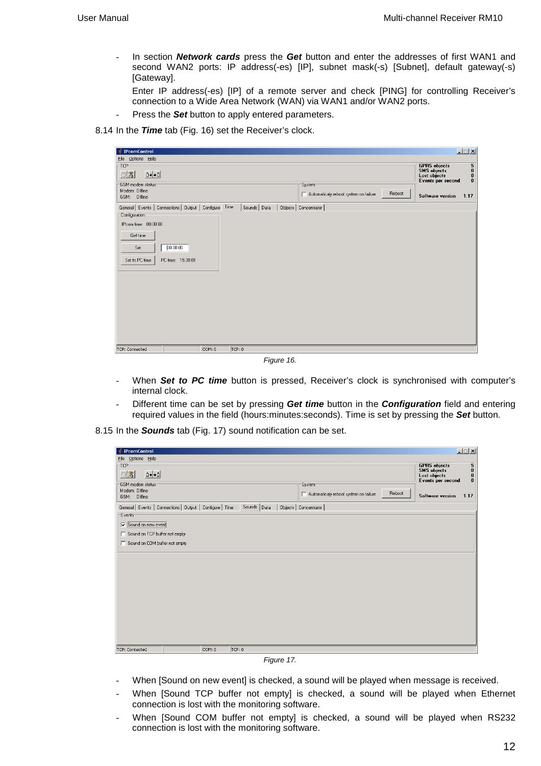- In section **Network cards** press the **Get** button and enter the addresses of first WAN1 and second WAN2 ports: IP address(-es) [IP], subnet mask(-s) [Subnet], default gateway(-s) [Gateway].

Enter IP address(-es) [IP] of a remote server and check [PING] for controlling Receiver's connection to a Wide Area Network (WAN) via WAN1 and/or WAN2 ports.

- Press the **Set** button to apply entered parameters.
- 8.14 In the **Time** tab (Fig. 16) set the Receiver's clock.

| GPRS objects<br>SMS objects<br>Lost objects<br>$\overline{\mathbf{5}}_0$<br>-TCP-<br>$\mathbf{D} \rightarrow \mathbf{A}$<br>$\odot$ 3<br>$\boldsymbol{0}$<br>Events per second<br>$\bf{0}$<br>System<br>Modem: Offline<br>Reboot<br>Automaticaly reboot system on failure<br>1.17<br>Software version<br>GSM: Offline<br>General Events   Connections   Output   Configure Time<br>Sounds   Data<br>Objects   Concentrator  <br>Configuration<br>IPcom time: 00:00:00<br>Get time<br>00:00:00<br>Set<br>Set to PC time<br>PC time: 15:20:01 | <b><i>i</i></b> IPcomControl | $\Box$ |
|---------------------------------------------------------------------------------------------------------------------------------------------------------------------------------------------------------------------------------------------------------------------------------------------------------------------------------------------------------------------------------------------------------------------------------------------------------------------------------------------------------------------------------------------|------------------------------|--------|
|                                                                                                                                                                                                                                                                                                                                                                                                                                                                                                                                             | File Options Help            |        |
|                                                                                                                                                                                                                                                                                                                                                                                                                                                                                                                                             |                              |        |
|                                                                                                                                                                                                                                                                                                                                                                                                                                                                                                                                             |                              |        |
|                                                                                                                                                                                                                                                                                                                                                                                                                                                                                                                                             | GSM modem status             |        |
|                                                                                                                                                                                                                                                                                                                                                                                                                                                                                                                                             |                              |        |
|                                                                                                                                                                                                                                                                                                                                                                                                                                                                                                                                             |                              |        |
|                                                                                                                                                                                                                                                                                                                                                                                                                                                                                                                                             |                              |        |
|                                                                                                                                                                                                                                                                                                                                                                                                                                                                                                                                             |                              |        |
|                                                                                                                                                                                                                                                                                                                                                                                                                                                                                                                                             |                              |        |
|                                                                                                                                                                                                                                                                                                                                                                                                                                                                                                                                             |                              |        |
|                                                                                                                                                                                                                                                                                                                                                                                                                                                                                                                                             |                              |        |
|                                                                                                                                                                                                                                                                                                                                                                                                                                                                                                                                             |                              |        |
|                                                                                                                                                                                                                                                                                                                                                                                                                                                                                                                                             |                              |        |
|                                                                                                                                                                                                                                                                                                                                                                                                                                                                                                                                             |                              |        |
|                                                                                                                                                                                                                                                                                                                                                                                                                                                                                                                                             |                              |        |
|                                                                                                                                                                                                                                                                                                                                                                                                                                                                                                                                             |                              |        |
|                                                                                                                                                                                                                                                                                                                                                                                                                                                                                                                                             |                              |        |
|                                                                                                                                                                                                                                                                                                                                                                                                                                                                                                                                             |                              |        |
|                                                                                                                                                                                                                                                                                                                                                                                                                                                                                                                                             |                              |        |
|                                                                                                                                                                                                                                                                                                                                                                                                                                                                                                                                             |                              |        |
|                                                                                                                                                                                                                                                                                                                                                                                                                                                                                                                                             |                              |        |
|                                                                                                                                                                                                                                                                                                                                                                                                                                                                                                                                             |                              |        |
|                                                                                                                                                                                                                                                                                                                                                                                                                                                                                                                                             |                              |        |
| COM: 0<br>TCP: 0                                                                                                                                                                                                                                                                                                                                                                                                                                                                                                                            | TCP: Connected               |        |

Figure 16.

- When **Set to PC time** button is pressed, Receiver's clock is synchronised with computer's internal clock.
- Different time can be set by pressing **Get time** button in the **Configuration** field and entering required values in the field (hours:minutes:seconds). Time is set by pressing the **Set** button.

8.15 In the **Sounds** tab (Fig. 17) sound notification can be set.

| <b><i>i</i></b> IPcomControl                                                                                    | $\Box$ $\Box$ $\times$                                                                             |
|-----------------------------------------------------------------------------------------------------------------|----------------------------------------------------------------------------------------------------|
| File Options Help                                                                                               |                                                                                                    |
| TCP<br>$\odot$ $\mathbb{Z}$<br>$\Box \rightarrow \rightarrow \Box$                                              | <b>GPRS</b> objects<br>5<br>0<br>0<br>0<br><b>SMS</b> objects<br>Lost objects<br>Events per second |
| GSM modem status<br>System<br>Modem: Offline<br>Reboot<br>Automaticaly reboot system on failure<br>GSM: Offline | Software version<br>1.17                                                                           |
| Sounds Data<br>General Events   Connections   Output   Configure   Time<br>Objects   Concentrator  <br>Events   |                                                                                                    |
| Sound on new event                                                                                              |                                                                                                    |
| Sound on TCP buffer not empty                                                                                   |                                                                                                    |
| Sound on COM buffer not empty                                                                                   |                                                                                                    |
|                                                                                                                 |                                                                                                    |
|                                                                                                                 |                                                                                                    |
|                                                                                                                 |                                                                                                    |
|                                                                                                                 |                                                                                                    |
|                                                                                                                 |                                                                                                    |
|                                                                                                                 |                                                                                                    |
|                                                                                                                 |                                                                                                    |
|                                                                                                                 |                                                                                                    |
| TCP: Connected<br>COM: 0<br>TCP: 0                                                                              |                                                                                                    |

Figure 17.

- When [Sound on new event] is checked, a sound will be played when message is received.
- When [Sound TCP buffer not empty] is checked, a sound will be played when Ethernet connection is lost with the monitoring software.
- When [Sound COM buffer not empty] is checked, a sound will be played when RS232 connection is lost with the monitoring software.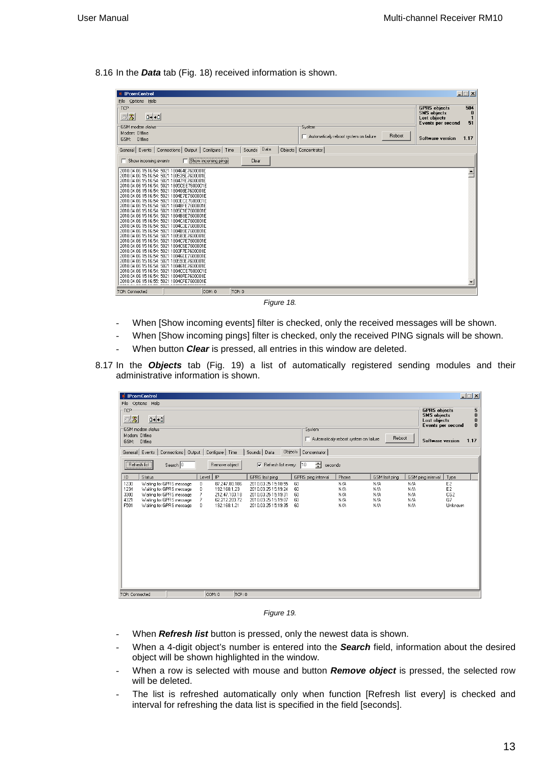8.16 In the **Data** tab (Fig. 18) received information is shown.

| <b>IPcomControl</b>                                                                                                                                                                                                                                                                                                                                                                                                                                                                                                                                                                                                                                                                              |                     |             |                        |                                       |        |                                                                                | $\Box$ $\Box$ $\times$    |
|--------------------------------------------------------------------------------------------------------------------------------------------------------------------------------------------------------------------------------------------------------------------------------------------------------------------------------------------------------------------------------------------------------------------------------------------------------------------------------------------------------------------------------------------------------------------------------------------------------------------------------------------------------------------------------------------------|---------------------|-------------|------------------------|---------------------------------------|--------|--------------------------------------------------------------------------------|---------------------------|
| File Options Help                                                                                                                                                                                                                                                                                                                                                                                                                                                                                                                                                                                                                                                                                |                     |             |                        |                                       |        |                                                                                |                           |
| -TCP<br>$\Box \rightarrow \rightarrow \Box$<br>$\odot$ 3                                                                                                                                                                                                                                                                                                                                                                                                                                                                                                                                                                                                                                         |                     |             |                        |                                       |        | <b>GPRS</b> objects<br><b>SMS</b> objects<br>Lost objects<br>Events per second | 504<br>$\mathbf{1}$<br>51 |
| GSM modem status<br>Modem: Offline<br>GSM: Offline                                                                                                                                                                                                                                                                                                                                                                                                                                                                                                                                                                                                                                               |                     |             | System                 | Automaticaly reboot system on failure | Reboot | <b>Software version</b>                                                        | 1.17                      |
| General Events   Connections   Output   Configure   Time                                                                                                                                                                                                                                                                                                                                                                                                                                                                                                                                                                                                                                         |                     | Sounds Data | Objects   Concentrator |                                       |        |                                                                                |                           |
| $\Box$ Show incoming events                                                                                                                                                                                                                                                                                                                                                                                                                                                                                                                                                                                                                                                                      | Show incoming pings | Clear       |                        |                                       |        |                                                                                |                           |
| 2010.04.06 15:16:54: 5021 180464E7600001E<br>2010.04.06 15:16:54: 5021 180535E7600001E<br>2010.04.06 15:16:54: 5021 18047FE7600001E<br>2010.04.06 15:16:54: 5021 1805CEE7600001E<br>2010.04.06 15:16:54: 5021 180408E7600001E<br>2010.04.06 15:16:54: 5021 1804E7E7600001E<br>2010.04.06 15:16:54: 5021 1803ECE 7600001E<br>2010.04.06 15:16:54: 5021 1804BFE7600001E<br>2010.04.06 15:16:54: 5021 1805C1E7600001E<br>2010.04.06 15:16:54: 5021 1804B8E7600001E<br>2010.04.06 15:16:54: 5021 1804C1E7600001E<br>2010.04.06 15:16:54: 5021 1804C3E7600001E<br>2010.04.06 15:16:54: 5021 1804B9E7600001E<br>2010.04.06 15:16:54: 5021 180583E7600001E<br>2010.04.06 15:16:54: 5021 1804C7E7600001E |                     |             |                        |                                       |        |                                                                                |                           |
| 2010.04.06 15:16:54: 5021 1804C6E7600001E<br>2010.04.06 15:16:54: 5021 1803F7E7600001E<br>2010.04.06 15:16:54: 5021 18046EE7600001E<br>2010.04.06 15:16:54: 5021 180593E7600001E<br>2010.04.06 15:16:54: 5021 180461E7600001E<br>2010.04.06 15:16:54: 5021 1804CCE7600001E<br>2010.04.06 15:16:54: 5021 18040FE7600001E<br>2010.04.06 15:16:55: 5021 1804CFE7600001E                                                                                                                                                                                                                                                                                                                             |                     |             |                        |                                       |        |                                                                                |                           |
| <b>TCP: Connected</b>                                                                                                                                                                                                                                                                                                                                                                                                                                                                                                                                                                                                                                                                            | COM: 0              | TCP: 0      |                        |                                       |        |                                                                                |                           |

Figure 18.

- When [Show incoming events] filter is checked, only the received messages will be shown.
- When [Show incoming pings] filter is checked, only the received PING signals will be shown.
- When button **Clear** is pressed, all entries in this window are deleted.
- 8.17 In the **Objects** tab (Fig. 19) a list of automatically registered sending modules and their administrative information is shown.

| <b><i>i</i></b> IPcomControl |                                                      |                                                            |                               |                                            |          |                    |                                       |               |            | $\Box$                                                     |
|------------------------------|------------------------------------------------------|------------------------------------------------------------|-------------------------------|--------------------------------------------|----------|--------------------|---------------------------------------|---------------|------------|------------------------------------------------------------|
| File Options Help            |                                                      |                                                            |                               |                                            |          |                    |                                       |               |            |                                                            |
| TCP                          |                                                      |                                                            |                               |                                            |          |                    |                                       |               |            | 5<br><b>GPRS</b> objects                                   |
| $\circledB$                  | $\mathbf{D}$ + $\mathbf{D}$                          |                                                            |                               |                                            |          |                    |                                       |               |            | <b>SMS</b> objects<br>$\bf{0}$<br>Lost objects<br>$\bf{0}$ |
| GSM modem status             |                                                      |                                                            |                               |                                            |          | System             |                                       |               |            | $\bf{0}$<br>Events per second                              |
| Modem: Offline               |                                                      |                                                            |                               |                                            |          |                    | Automaticaly reboot system on failure | Reboot        |            |                                                            |
| GSM: Offline                 |                                                      |                                                            |                               |                                            |          |                    |                                       |               |            | 1.17<br>Software version                                   |
|                              |                                                      | General   Events   Connections   Output   Configure   Time |                               | Sounds   Data                              | Objects  | Concentrator       |                                       |               |            |                                                            |
| Refresh list                 |                                                      | Search $\boxed{0}$                                         | Remove object                 | $\nabla$ Refresh list every: 10            |          | 츾<br>seconds       |                                       |               |            |                                                            |
| ID                           | Status                                               |                                                            | Level   IP                    | GPRS last ping                             |          | GPRS ping interval | Phone                                 | GSM last ping |            | GSM ping interval<br>Type                                  |
| 1230                         | Waiting for GPRS message                             | 0                                                          | 87.247.80.186                 | 2010.03.25 15:18:55                        | 60       |                    | N/A                                   | N/A           | N/A        | E <sub>2</sub>                                             |
| 1234                         | Waiting for GPRS message                             | $\mathbf{0}$                                               | 192.168.1.23                  | 2010.03.25 15:19:24                        | 60       |                    | N/A                                   | N/A           | N/A        | E <sub>2</sub>                                             |
| 3300                         | Waiting for GPRS message                             | 7                                                          | 212.47.103.18                 | 2010.03.25 15:19:31                        | 60       |                    | N/A                                   | N/A           | N/A        | CG <sub>2</sub>                                            |
| 4321<br>F501                 | Waiting for GPRS message<br>Waiting for GPRS message | 7<br>0                                                     | 62.212.203.72<br>192.168.1.21 | 2010.03.25 15:19:07<br>2010.03.25 15:19:35 | 60<br>60 |                    | N/A<br>N/A                            | N/A<br>N/A    | N/A<br>N/A | G7<br>Unknown                                              |
|                              |                                                      |                                                            |                               |                                            |          |                    |                                       |               |            |                                                            |
|                              |                                                      |                                                            |                               |                                            |          |                    |                                       |               |            |                                                            |
|                              |                                                      |                                                            |                               |                                            |          |                    |                                       |               |            |                                                            |
|                              |                                                      |                                                            |                               |                                            |          |                    |                                       |               |            |                                                            |
|                              |                                                      |                                                            |                               |                                            |          |                    |                                       |               |            |                                                            |
|                              |                                                      |                                                            |                               |                                            |          |                    |                                       |               |            |                                                            |
|                              |                                                      |                                                            |                               |                                            |          |                    |                                       |               |            |                                                            |
|                              |                                                      |                                                            |                               |                                            |          |                    |                                       |               |            |                                                            |
|                              |                                                      |                                                            |                               |                                            |          |                    |                                       |               |            |                                                            |
|                              |                                                      |                                                            |                               |                                            |          |                    |                                       |               |            |                                                            |
|                              |                                                      |                                                            |                               |                                            |          |                    |                                       |               |            |                                                            |
|                              |                                                      |                                                            |                               |                                            |          |                    |                                       |               |            |                                                            |
|                              |                                                      |                                                            |                               |                                            |          |                    |                                       |               |            |                                                            |
| TCP: Connected               |                                                      |                                                            | COM: 0                        | TCP: 0                                     |          |                    |                                       |               |            |                                                            |

Figure 19.

- When **Refresh list** button is pressed, only the newest data is shown.
- When a 4-digit object's number is entered into the **Search** field, information about the desired object will be shown highlighted in the window.
- When a row is selected with mouse and button **Remove object** is pressed, the selected row will be deleted.
- The list is refreshed automatically only when function [Refresh list every] is checked and interval for refreshing the data list is specified in the field [seconds].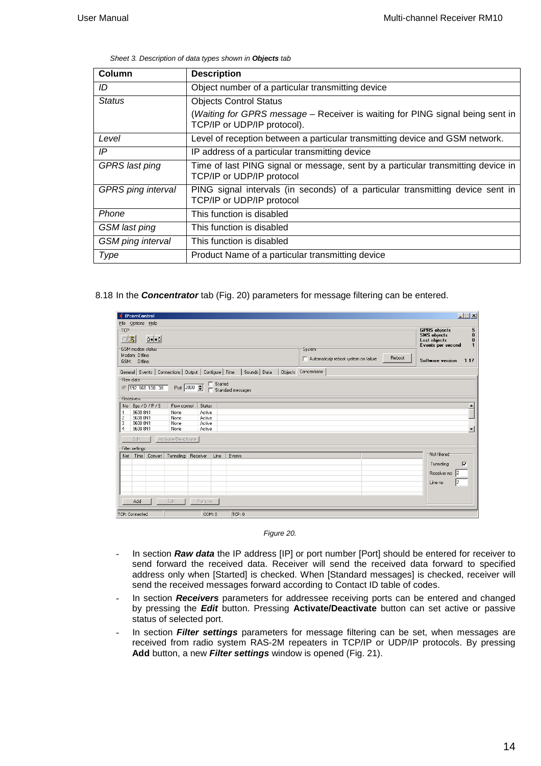Sheet 3. Description of data types shown in **Objects** tab

| Column                    | <b>Description</b>                                                                                            |
|---------------------------|---------------------------------------------------------------------------------------------------------------|
| ID                        | Object number of a particular transmitting device                                                             |
| <b>Status</b>             | <b>Objects Control Status</b>                                                                                 |
|                           | (Waiting for GPRS message – Receiver is waiting for PING signal being sent in<br>TCP/IP or UDP/IP protocol).  |
| Level                     | Level of reception between a particular transmitting device and GSM network.                                  |
| IP                        | IP address of a particular transmitting device                                                                |
| <b>GPRS</b> last ping     | Time of last PING signal or message, sent by a particular transmitting device in<br>TCP/IP or UDP/IP protocol |
| <b>GPRS</b> ping interval | PING signal intervals (in seconds) of a particular transmitting device sent in<br>TCP/IP or UDP/IP protocol   |
| Phone                     | This function is disabled                                                                                     |
| GSM last ping             | This function is disabled                                                                                     |
| <b>GSM</b> ping interval  | This function is disabled                                                                                     |
| Type                      | Product Name of a particular transmitting device                                                              |

8.18 In the **Concentrator** tab (Fig. 20) parameters for message filtering can be entered.

| <b>IPcomControl</b>                                      |                     |                  |                |                   |                                                                                                                   | $\Box$ $\Box$ $\times$                                                               |  |  |  |
|----------------------------------------------------------|---------------------|------------------|----------------|-------------------|-------------------------------------------------------------------------------------------------------------------|--------------------------------------------------------------------------------------|--|--|--|
| File Options Help                                        |                     |                  |                |                   |                                                                                                                   |                                                                                      |  |  |  |
| TCP<br>$\Box \rightarrow \rightarrow \Box$<br>$\circ$ 3  |                     |                  |                |                   |                                                                                                                   | <b>GPRS</b> objects<br>5<br><b>SMS</b> objects<br>$\bf{0}$<br>Lost objects<br>0<br>1 |  |  |  |
| GSM modem status<br>Modem: Offline<br>GSM: Offline       |                     |                  |                |                   | Events per second<br>System<br>Reboot<br>Automaticaly reboot system on failure<br>1.17<br><b>Software version</b> |                                                                                      |  |  |  |
| General Events   Connections   Output   Configure   Time |                     |                  |                | Sounds   Data     | Objects Concentrator                                                                                              |                                                                                      |  |  |  |
| Raw data<br>IP 192.168.100.38<br>Receivers               |                     | Port 2000        | $\Box$ Started | Standard messages |                                                                                                                   |                                                                                      |  |  |  |
| Bps / D / P / S<br>No                                    | Flow control        | Status           |                |                   |                                                                                                                   |                                                                                      |  |  |  |
| 9600 8N1<br>1<br>$\overline{c}$<br>9600 8N1              | None<br>None        | Active<br>Active |                |                   |                                                                                                                   |                                                                                      |  |  |  |
| 3<br>9600 8N1<br>$\overline{4}$<br>9600 8N1              | None<br>None        | Active<br>Active |                |                   |                                                                                                                   |                                                                                      |  |  |  |
| Edit                                                     | Activate/Deactivate |                  |                |                   |                                                                                                                   |                                                                                      |  |  |  |
| Filter settings                                          |                     |                  |                |                   |                                                                                                                   | Not filtered                                                                         |  |  |  |
| Net   Time   Convert   Tunneling   Receiver              |                     |                  | Line           | Events            |                                                                                                                   | $\overline{\mathbf{v}}$<br>Tunneling                                                 |  |  |  |
|                                                          |                     |                  |                |                   |                                                                                                                   | Receiver no 2                                                                        |  |  |  |
|                                                          |                     |                  |                |                   |                                                                                                                   | 12<br>Line no                                                                        |  |  |  |
| Add                                                      | Edit                | Remove           |                |                   |                                                                                                                   |                                                                                      |  |  |  |
| TCP: Connected                                           |                     | lcom n           |                | TCP:0             |                                                                                                                   |                                                                                      |  |  |  |

Figure 20.

- In section **Raw data** the IP address [IP] or port number [Port] should be entered for receiver to send forward the received data. Receiver will send the received data forward to specified address only when [Started] is checked. When [Standard messages] is checked, receiver will send the received messages forward according to Contact ID table of codes.
- In section Receivers parameters for addressee receiving ports can be entered and changed by pressing the **Edit** button. Pressing **Activate/Deactivate** button can set active or passive status of selected port.
- In section **Filter settings** parameters for message filtering can be set, when messages are received from radio system RAS-2M repeaters in TCP/IP or UDP/IP protocols. By pressing **Add** button, a new **Filter settings** window is opened (Fig. 21).